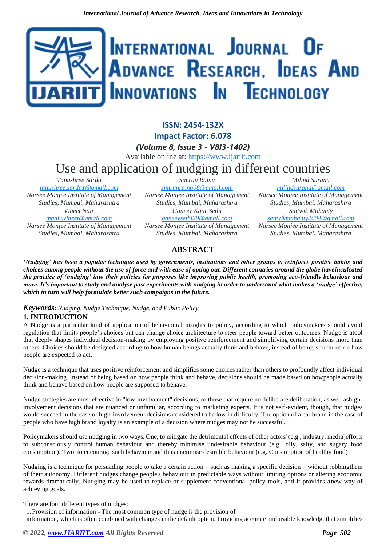# INTERNATIONAL JOURNAL OF ADVANCE RESEARCH, IDEAS AND **INNOVATIONS IN TECHNOLOGY**

**ISSN: 2454-132X Impact Factor: 6.078** *(Volume 8, Issue 3 - V8I3-1402)* Available online at: [https://www.ijariit.com](https://www.ijariit.com/?utm_source=pdf&utm_medium=edition&utm_campaign=OmAkSols&utm_term=V8I3-1402) Use and application of nudging in different countries *Tanushree Sarda [tanushree.sarda1@gmail.com](mailto:tanushree.sarda1@gmail.com) Simran Raina [simranraina08@gmail.com](mailto:simranraina08@gmail.com)*

*Narsee Monjee Institute of Management Studies, Mumbai, Maharashtra Vineet Nair [mnair.vineet@gmail.com](mailto:mnair.vineet@gmail.com) Narsee Monjee Institute of Management Studies, Mumbai, Maharashtra*

*Narsee Monjee Institute of Management Studies, Mumbai, Maharashtra Ganeev Kaur Sethi*

*[ganeevsethi29@gmail.com](mailto:ganeevsethi29@gmail.com) Narsee Monjee Institute of Management Studies, Mumbai, Maharashtra*

*Milind Surana [milindsurana@gmail.com](mailto:milindsurana@gmail.com) Narsee Monjee Institute of Management Studies, Mumbai, Maharashtra Sattwik Mohanty [sattwikmohanty2604@gmail.com](mailto:sattwikmohanty2604@gmail.com) Narsee Monjee Institute of Management Studies, Mumbai, Maharashtra*

# **ABSTRACT**

*'Nudging' has been a popular technique used by governments, institutions and other groups to reinforce positive habits and choices among people without the use of force and with ease of opting out. Different countries around the globe haveinculcated the practice of 'nudging' into their policies for purposes like improving public health, promoting eco-friendly behaviour and more. It's important to study and analyse past experiments with nudging in order to understand what makes a 'nudge' effective, which in turn will help formulate better such campaigns in the future.*

# *Keywords***:** *Nudging, Nudge Technique, Nudge, and Public Policy*

# **1. INTRODUCTION**

A Nudge is a particular kind of application of behavioural insights to policy, according to which policymakers should avoid regulation that limits people's choices but can change choice architecture to steer people toward better outcomes. Nudge is atool that deeply shapes individual decision-making by employing positive reinforcement and simplifying certain decisions more than others. Choices should be designed according to how human beings actually think and behave, instead of being structured on how people are expected to act.

Nudge is a technique that uses positive reinforcement and simplifies some choices rather than others to profoundly affect individual decision-making. Instead of being based on how people think and behave, decisions should be made based on howpeople actually think and behave based on how people are supposed to behave.

Nudge strategies are most effective in "low-involvement" decisions, or those that require no deliberate deliberation, as well ashighinvolvement decisions that are nuanced or unfamiliar, according to marketing experts. It is not self-evident, though, that nudges would succeed in the case of high-involvement decisions considered to be low in difficulty. The option of a car brand in the case of people who have high brand loyalty is an example of a decision where nudges may not be successful.

Policymakers should use nudging in two ways. One, to mitigate the detrimental effects of other actors' (e.g., industry, media)efforts to subconsciously control human behaviour and thereby minimise undesirable behaviour (e.g., oily, salty, and sugary food consumption). Two, to encourage such behaviour and thus maximise desirable behaviour (e.g. Consumption of healthy food)

Nudging is a technique for persuading people to take a certain action – such as making a specific decision – without robbingthem of their autonomy. Different nudges change people's behaviour in predictable ways without limiting options or altering economic rewards dramatically. Nudging may be used to replace or supplement conventional policy tools, and it provides anew way of achieving goals.

There are four different types of nudges:

1. Provision of information - The most common type of nudge is the provision of

information, which is often combined with changes in the default option. Providing accurate and usable knowledgethat simplifies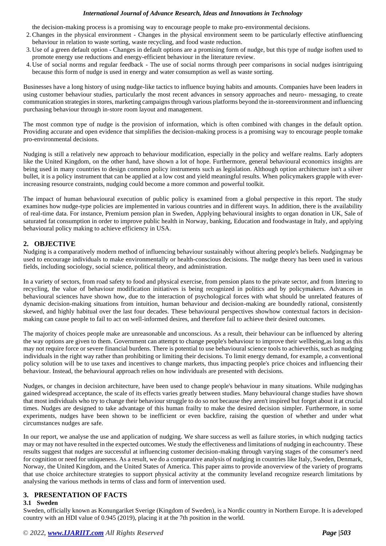the decision-making process is a promising way to encourage people to make pro-environmental decisions.

- 2.Changes in the physical environment Changes in the physical environment seem to be particularly effective atinfluencing behaviour in relation to waste sorting, waste recycling, and food waste reduction.
- 3. Use of a green default option Changes in default options are a promising form of nudge, but this type of nudge isoften used to promote energy use reductions and energy-efficient behaviour in the literature review.
- 4. Use of social norms and regular feedback The use of social norms through peer comparisons in social nudges isintriguing because this form of nudge is used in energy and water consumption as well as waste sorting.

Businesses have a long history of using nudge-like tactics to influence buying habits and amounts. Companies have been leaders in using customer behaviour studies, particularly the most recent advances in sensory approaches and neuro- messaging, to create communication strategies in stores, marketing campaigns through various platforms beyond the in-storeenvironment and influencing purchasing behaviour through in-store room layout and management.

The most common type of nudge is the provision of information, which is often combined with changes in the default option. Providing accurate and open evidence that simplifies the decision-making process is a promising way to encourage people tomake pro-environmental decisions.

Nudging is still a relatively new approach to behaviour modification, especially in the policy and welfare realms. Early adopters like the United Kingdom, on the other hand, have shown a lot of hope. Furthermore, general behavioural economics insights are being used in many countries to design common policy instruments such as legislation. Although option architecture isn't a silver bullet, it is a policy instrument that can be applied at a low cost and yield meaningful results. When policymakers grapple with everincreasing resource constraints, nudging could become a more common and powerful toolkit.

The impact of human behavioural execution of public policy is examined from a global perspective in this report. The study examines how nudge-type policies are implemented in various countries and in different ways. In addition, there is the availability of real-time data. For instance, Premium pension plan in Sweden, Applying behavioural insights to organ donation in UK, Sale of saturated fat consumption in order to improve public health in Norway, banking, Education and foodwastage in Italy, and applying behavioural policy making to achieve efficiency in USA.

# **2. OBJECTIVE**

Nudging is a comparatively modern method of influencing behaviour sustainably without altering people's beliefs. Nudgingmay be used to encourage individuals to make environmentally or health-conscious decisions. The nudge theory has been used in various fields, including sociology, social science, political theory, and administration.

In a variety of sectors, from road safety to food and physical exercise, from pension plans to the private sector, and from littering to recycling, the value of behaviour modification initiatives is being recognized in politics and by policymakers. Advances in behavioural sciences have shown how, due to the interaction of psychological forces with what should be unrelated features of dynamic decision-making situations from intuition, human behaviour and decision-making are boundedly rational, consistently skewed, and highly habitual over the last four decades. These behavioural perspectives showhow contextual factors in decisionmaking can cause people to fail to act on well-informed desires, and therefore fail to achieve their desired outcomes.

The majority of choices people make are unreasonable and unconscious. As a result, their behaviour can be influenced by altering the way options are given to them. Government can attempt to change people's behaviour to improve their wellbeing,as long as this may not require force or severe financial burdens. There is potential to use behavioural science tools to achievethis, such as nudging individuals in the right way rather than prohibiting or limiting their decisions. To limit energy demand, for example, a conventional policy solution will be to use taxes and incentives to change markets, thus impacting people's price choices and influencing their behaviour. Instead, the behavioural approach relies on how individuals are presented with decisions.

Nudges, or changes in decision architecture, have been used to change people's behaviour in many situations. While nudginghas gained widespread acceptance, the scale of its effects varies greatly between studies. Many behavioural change studies have shown that most individuals who try to change their behaviour struggle to do so not because they aren't inspired but forget about it at crucial times. Nudges are designed to take advantage of this human frailty to make the desired decision simpler. Furthermore, in some experiments, nudges have been shown to be inefficient or even backfire, raising the question of whether and under what circumstances nudges are safe.

In our report, we analyse the use and application of nudging. We share success as well as failure stories, in which nudging tactics may or may not have resulted in the expected outcomes. We study the effectiveness and limitations of nudging in eachcountry. These results suggest that nudges are successful at influencing customer decision-making through varying stages of the consumer's need for cognition or need for uniqueness. As a result, we do a comparative analysis of nudging in countries like Italy, Sweden, Denmark, Norway, the United Kingdom, and the United States of America. This paper aims to provide anoverview of the variety of programs that use choice architecture strategies to support physical activity at the community leveland recognize research limitations by analysing the various methods in terms of class and form of intervention used.

# **3. PRESENTATION OF FACTS**

# **3.1 Sweden**

Sweden, officially known as Konungariket Sverige (Kingdom of Sweden), is a Nordic country in Northern Europe. It is adeveloped country with an HDI value of 0.945 (2019), placing it at the 7th position in the world.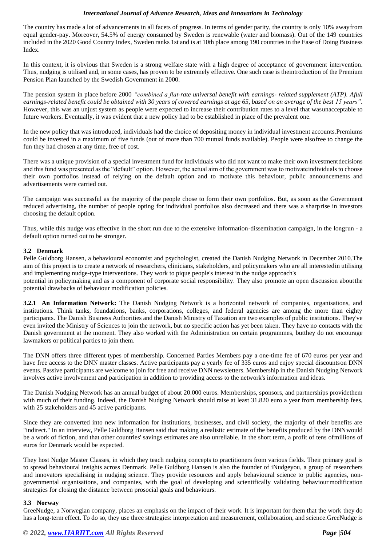The country has made a lot of advancements in all facets of progress. In terms of gender parity, the country is only 10% awayfrom equal gender-pay. Moreover, 54.5% of energy consumed by Sweden is renewable (water and biomass). Out of the 149 countries included in the 2020 Good Country Index, Sweden ranks 1st and is at 10th place among 190 countries in the Ease of Doing Business Index.

In this context, it is obvious that Sweden is a strong welfare state with a high degree of acceptance of government intervention. Thus, nudging is utilised and, in some cases, has proven to be extremely effective. One such case is theintroduction of the Premium Pension Plan launched by the Swedish Government in 2000.

The pension system in place before 2000 *"combined a flat-rate universal benefit with earnings- related supplement (ATP). Afull earnings-related benefit could be obtained with 30 years of covered earnings at age 65, based on an average of the best 15 years"*. However, this was an unjust system as people were expected to increase their contribution rates to a level that wasunacceptable to future workers. Eventually, it was evident that a new policy had to be established in place of the prevalent one.

In the new policy that was introduced, individuals had the choice of depositing money in individual investment accounts.Premiums could be invested in a maximum of five funds (out of more than 700 mutual funds available). People were alsofree to change the fun they had chosen at any time, free of cost.

There was a unique provision of a special investment fund for individuals who did not want to make their own investmentdecisions and this fund was presented as the "default" option. However, the actual aim of the government was to motivateindividuals to choose their own portfolios instead of relying on the default option and to motivate this behaviour, public announcements and advertisements were carried out.

The campaign was successful as the majority of the people chose to form their own portfolios. But, as soon as the Government reduced advertising, the number of people opting for individual portfolios also decreased and there was a sharprise in investors choosing the default option.

Thus, while this nudge was effective in the short run due to the extensive information-dissemination campaign, in the longrun - a default option turned out to be stronger.

# **3.2 Denmark**

Pelle Guldborg Hansen, a behavioural economist and psychologist, created the Danish Nudging Network in December 2010.The aim of this project is to create a network of researchers, clinicians, stakeholders, and policymakers who are all interestedin utilising and implementing nudge-type interventions. They work to pique people's interest in the nudge approach's potential in policymaking and as a component of corporate social responsibility. They also promote an open discussion aboutthe potential drawbacks of behaviour modification policies.

**3.2.1 An Information Network:** The Danish Nudging Network is a horizontal network of companies, organisations, and institutions. Think tanks, foundations, banks, corporations, colleges, and federal agencies are among the more than eighty participants. The Danish Business Authorities and the Danish Ministry of Taxation are two examples of public institutions. They've even invited the Ministry of Sciences to join the network, but no specific action has yet been taken. They have no contacts with the Danish government at the moment. They also worked with the Administration on certain programmes, butthey do not encourage lawmakers or political parties to join them.

The DNN offers three different types of membership. Concerned Parties Members pay a one-time fee of 670 euros per year and have free access to the DNN master classes. Active participants pay a yearly fee of 335 euros and enjoy special discountson DNN events. Passive participants are welcome to join for free and receive DNN newsletters. Membership in the Danish Nudging Network involves active involvement and participation in addition to providing access to the network's information and ideas.

The Danish Nudging Network has an annual budget of about 20.000 euros. Memberships, sponsors, and partnerships providethem with much of their funding. Indeed, the Danish Nudging Network should raise at least 31.820 euro a year from membership fees, with 25 stakeholders and 45 active participants.

Since they are converted into new information for institutions, businesses, and civil society, the majority of their benefits are "indirect." In an interview, Pelle Guldborg Hansen said that making a realistic estimate of the benefits produced by the DNNwould be a work of fiction, and that other countries' savings estimates are also unreliable. In the short term, a profit of tens ofmillions of euros for Denmark would be expected.

They host Nudge Master Classes, in which they teach nudging concepts to practitioners from various fields. Their primary goal is to spread behavioural insights across Denmark. Pelle Guldborg Hansen is also the founder of iNudgeyou, a group of researchers and innovators specialising in nudging science. They provide resources and apply behavioural science to public agencies, nongovernmental organisations, and companies, with the goal of developing and scientifically validating behaviour modification strategies for closing the distance between prosocial goals and behaviours.

## **3.3 Norway**

GreeNudge, a Norwegian company, places an emphasis on the impact of their work. It is important for them that the work they do has a long-term effect. To do so, they use three strategies: interpretation and measurement, collaboration, and science.GreeNudge is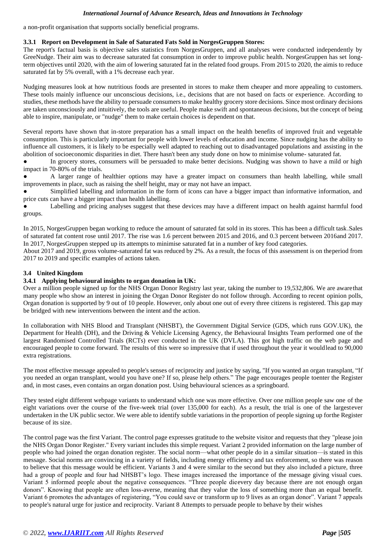a non-profit organisation that supports socially beneficial programs.

# **3.3.1 Report on Development in Sale of Saturated Fats Sold in NorgesGruppen Stores:**

The report's factual basis is objective sales statistics from NorgesGruppen, and all analyses were conducted independently by GreeNudge. Their aim was to decrease saturated fat consumption in order to improve public health. NorgesGruppen has set longterm objectives until 2020, with the aim of lowering saturated fat in the related food groups. From 2015 to 2020, the aimis to reduce saturated fat by 5% overall, with a 1% decrease each year.

Nudging measures look at how nutritious foods are presented in stores to make them cheaper and more appealing to customers. These tools mainly influence our unconscious decisions, i.e., decisions that are not based on facts or experience. According to studies, these methods have the ability to persuade consumers to make healthy grocery store decisions. Since most ordinary decisions are taken unconsciously and intuitively, the tools are useful. People make swift and spontaneous decisions, but the concept of being able to inspire, manipulate, or "nudge" them to make certain choices is dependent on that.

Several reports have shown that in-store preparation has a small impact on the health benefits of improved fruit and vegetable consumption. This is particularly important for people with lower levels of education and income. Since nudging has the ability to influence all customers, it is likely to be especially well adapted to reaching out to disadvantaged populations and assisting in the abolition of socioeconomic disparities in diet. There hasn't been any study done on how to minimise volume- saturated fat.

In grocery stores, consumers will be persuaded to make better decisions. Nudging was shown to have a mild or high impact in 70-80% of the trials.

A larger range of healthier options may have a greater impact on consumers than health labelling, while small improvements in place, such as raising the shelf height, may or may not have an impact.

Simplified labelling and information in the form of icons can have a bigger impact than informative information, and price cuts can have a bigger impact than health labelling.

Labelling and pricing analyses suggest that these devices may have a different impact on health against harmful food groups.

In 2015, NorgesGruppen began working to reduce the amount of saturated fat sold in its stores. This has been a difficult task.Sales of saturated fat content rose until 2017. The rise was 1.6 percent between 2015 and 2016, and 0.3 percent between 2016and 2017. In 2017, NorgesGruppen stepped up its attempts to minimise saturated fat in a number of key food categories.

About 2017 and 2019, gross volume-saturated fat was reduced by 2%. As a result, the focus of this assessment is on theperiod from 2017 to 2019 and specific examples of actions taken.

# **3.4 United Kingdom**

## **3.4.1 Applying behavioural insights to organ donation in UK:**

Over a million people signed up for the NHS Organ Donor Registry last year, taking the number to 19,532,806. We are awarethat many people who show an interest in joining the Organ Donor Register do not follow through. According to recent opinion polls, Organ donation is supported by 9 out of 10 people. However, only about one out of every three citizens is registered. This gap may be bridged with new interventions between the intent and the action.

In collaboration with NHS Blood and Transplant (NHSBT), the Government Digital Service (GDS, which runs GOV.UK), the Department for Health (DH), and the Driving & Vehicle Licensing Agency, the Behavioural Insights Team performed one of the largest Randomised Controlled Trials (RCTs) ever conducted in the UK (DVLA). This got high traffic on the web page and encouraged people to come forward. The results of this were so impressive that if used throughout the year it wouldlead to 90,000 extra registrations.

The most effective message appealed to people's senses of reciprocity and justice by saying, "If you wanted an organ transplant, "If you needed an organ transplant, would you have one? If so, please help others." The page encourages people toenter the Register and, in most cases, even contains an organ donation post. Using behavioural sciences as a springboard.

They tested eight different webpage variants to understand which one was more effective. Over one million people saw one of the eight variations over the course of the five-week trial (over 135,000 for each). As a result, the trial is one of the largestever undertaken in the UK public sector. We were able to identify subtle variations in the proportion of people signing up forthe Register because of its size.

The control page was the first Variant. The control page expresses gratitude to the website visitor and requests that they "please join the NHS Organ Donor Register." Every variant includes this simple request. Variant 2 provided information on the large number of people who had joined the organ donation register. The social norm—what other people do in a similar situation—is stated in this message. Social norms are convincing in a variety of fields, including energy efficiency and tax enforcement, so there was reason to believe that this message would be efficient. Variants 3 and 4 were similar to the second but they also included a picture, three had a group of people and four had NHSBT's logo. These images increased the importance of the message giving visual cues. Variant 5 informed people about the negative consequences. "Three people dieevery day because there are not enough organ donors". Knowing that people are often loss-averse, meaning that they value the loss of something more than an equal benefit. Variant 6 promotes the advantages of registering, "You could save or transform up to 9 lives as an organ donor". Variant 7 appeals to people's natural urge for justice and reciprocity. Variant 8 Attempts to persuade people to behave by their wishes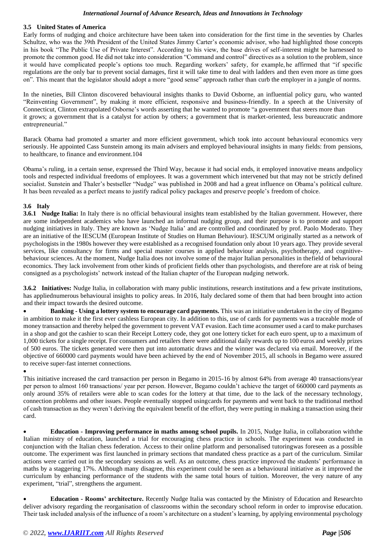# **3.5 United States of America**

Early forms of nudging and choice architecture have been taken into consideration for the first time in the seventies by Charles Schultze, who was the 39th President of the United States Jimmy Carter's economic advisor, who had highlighted those concepts in his book "The Public Use of Private Interest". According to his view, the base drives of self-interest might be harnessed to promote the common good. He did not take into consideration "Command and control" directives as a solution to the problem, since it would have complicated people's options too much. Regarding workers' safety, for example, he affirmed that "if specific regulations are the only bar to prevent social damages, first it will take time to deal with ladders and then even more as time goes on". This meant that the legislator should adopt a more "good sense" approach rather than curb the employer in a jungle of norms.

In the nineties, Bill Clinton discovered behavioural insights thanks to David Osborne, an influential policy guru, who wanted "Reinventing Government", by making it more efficient, responsive and business-friendly. In a speech at the University of Connecticut, Clinton extrapolated Osborne's words asserting that he wanted to promote "a government that steers more than it grows; a government that is a catalyst for action by others; a government that is market-oriented, less bureaucratic andmore entrepreneurial."

Barack Obama had promoted a smarter and more efficient government, which took into account behavioural economics very seriously. He appointed Cass Sunstein among its main advisers and employed behavioural insights in many fields: from pensions, to healthcare, to finance and environment.104

Obama's ruling, in a certain sense, expressed the Third Way, because it had social ends, it employed innovative means andpolicy tools and respected individual freedoms of employees. It was a government which intervened but that may not be strictly defined socialist. Sunstein and Thaler's bestseller "Nudge" was published in 2008 and had a great influence on Obama's political culture. It has been revealed as a perfect means to justify radical policy packages and preserve people's freedom of choice.

# **3.6 Italy**

**3.6.1 Nudge Italia:** In Italy there is no official behavioural insights team established by the Italian government. However, there are some independent academics who have launched an informal nudging group, and their purpose is to promote and support nudging initiatives in Italy. They are known as 'Nudge Italia' and are controlled and coordinated by prof. Paolo Moderato. They are an initiative of the IESCUM (European Institute of Studies on Human Behaviour). IESCUM originally started as a network of psychologists in the 1980s however they were established as a recognised foundation only about 10 years ago. They provide several services, like consultancy for firms and special master courses in applied behaviour analysis, psychotherapy, and cognitivebehaviour sciences. At the moment, Nudge Italia does not involve some of the major Italian personalities in thefield of behavioural economics. They lack involvement from other kinds of proficient fields other than psychologists, and therefore are at risk of being consigned as a psychologists' network instead of the Italian chapter of the European nudging network.

**3.6.2 Initiatives:** Nudge Italia, in collaboration with many public institutions, research institutions and a few private institutions, has appliednumerous behavioural insights to policy areas. In 2016, Italy declared some of them that had been brought into action and their impact towards the desired outcome.

• **Banking - Using a lottery system to encourage card payments.** This was an initiative undertaken in the city of Begamo in ambition to make it the first ever cashless European city. In addition to this, use of cards for payments was a traceable mode of money transaction and thereby helped the government to prevent VAT evasion. Each time aconsumer used a card to make purchases in a shop and got the cashier to scan their Receipt Lottery code, they got one lottery ticket for each euro spent, up to a maximum of 1,000 tickets for a single receipt. For consumers and retailers there were additional daily rewards up to 100 euros and weekly prizes of 500 euros. The tickets generated were then put into automatic draws and the winner was declared via email. Moreover, if the objective of 660000 card payments would have been achieved by the end of November 2015, all schools in Begamo were assured to receive super-fast internet connections.

#### •

This initiative increased the card transaction per person in Begamo in 2015-16 by almost 64% from average 40 transactions/year per person to almost 160 transactions/ year per person. However, Begamo couldn't achieve the target of 660000 card payments as only around 35% of retailers were able to scan codes for the lottery at that time, due to the lack of the necessary technology, connection problems and other issues. People eventually stopped usingcards for payments and went back to the traditional method of cash transaction as they weren't deriving the equivalent benefit of the effort, they were putting in making a transaction using their card.

• **Education - Improving performance in maths among school pupils.** In 2015, Nudge Italia, in collaboration withthe Italian ministry of education, launched a trial for encouraging chess practice in schools. The experiment was conducted in conjunction with the Italian chess federation. Access to their online platform and personalised tutoringwas foreseen as a possible outcome. The experiment was first launched in primary sections that mandated chess practice as a part of the curriculum. Similar actions were carried out in the secondary sessions as well. As an outcome, chess practice improved the students' performance in maths by a staggering 17%. Although many disagree, this experiment could be seen as a behavioural initiative as it improved the curriculum by enhancing performance of the students with the same total hours of tuition. Moreover, the very nature of any experiment, "trial", strengthens the argument.

• **Education - Rooms' architecture.** Recently Nudge Italia was contacted by the Ministry of Education and Researchto deliver advisory regarding the reorganisation of classrooms within the secondary school reform in order to improvise education. Their task included analysis of the influence of a room's architecture on a student's learning, by applying environmental psychology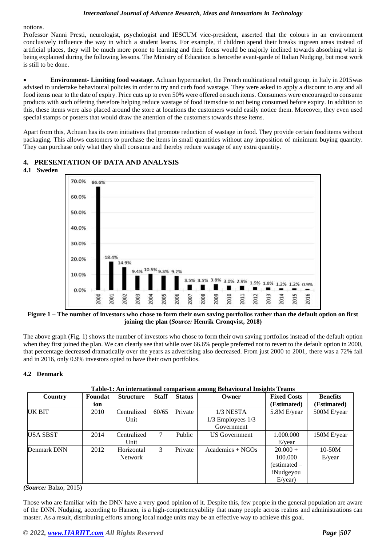notions.

Professor Nanni Presti, neurologist, psychologist and IESCUM vice-president, asserted that the colours in an environment conclusively influence the way in which a student learns. For example, if children spend their breaks ingreen areas instead of artificial places, they will be much more prone to learning and their focus would be majorly inclined towards absorbing what is being explained during the following lessons. The Ministry of Education is hencethe avant-garde of Italian Nudging, but most work is still to be done.

• **Environment- Limiting food wastage.** Achuan hypermarket, the French multinational retail group, in Italy in 2015was advised to undertake behavioural policies in order to try and curb food wastage. They were asked to apply a discount to any and all food items near to the date of expiry. Price cuts up to even 50% were offered on such items. Consumers were encouraged to consume products with such offering therefore helping reduce wastage of food itemsdue to not being consumed before expiry. In addition to this, these items were also placed around the store at locations the customers would easily notice them. Moreover, they even used special stamps or posters that would draw the attention of the customers towards these items.

Apart from this, Achuan has its own initiatives that promote reduction of wastage in food. They provide certain fooditems without packaging. This allows customers to purchase the items in small quantities without any imposition of minimum buying quantity. They can purchase only what they shall consume and thereby reduce wastage of any extra quantity.



# **4. PRESENTATION OF DATA AND ANALYSIS**

**Figure 1 – The number of investors who chose to form their own saving portfolios rather than the default option on first joining the plan (***Source:* **Henrik Cronqvist, 2018)**

The above graph (Fig. 1) shows the number of investors who chose to form their own saving portfolios instead of the default option when they first joined the plan. We can clearly see that while over 66.6% people preferred not to revert to the default option in 2000, that percentage decreased dramatically over the years as advertising also decreased. From just 2000 to 2001, there was a 72% fall and in 2016, only 0.9% investors opted to have their own portfolios.

# **4.2 Denmark**

| Country         | Foundat | <b>Structure</b> | <b>Staff</b> | <b>Status</b> | Owner                 | <b>Fixed Costs</b> | <b>Benefits</b> |
|-----------------|---------|------------------|--------------|---------------|-----------------------|--------------------|-----------------|
|                 | ion     |                  |              |               |                       | (Estimated)        | (Estimated)     |
| UK BIT          | 2010    | Centralized      | 60/65        | Private       | 1/3 NESTA             | 5.8M E/year        | 500M E/year     |
|                 |         | Unit             |              |               | $1/3$ Employees $1/3$ |                    |                 |
|                 |         |                  |              |               | Government            |                    |                 |
| <b>USA SBST</b> | 2014    | Centralized      | 7            | Public        | <b>US</b> Government  | 1.000.000          | 150M E/year     |
|                 |         | Unit             |              |               |                       | E/year             |                 |
| Denmark DNN     | 2012    | Horizontal       | 3            | Private       | $Academics + NGOs$    | $20.000 +$         | $10-50M$        |
|                 |         | Network          |              |               |                       | 100.000            | E/year          |
|                 |         |                  |              |               |                       | (estimated –       |                 |
|                 |         |                  |              |               |                       | iNudgeyou          |                 |
|                 |         |                  |              |               |                       | E/year)            |                 |

**Table-1: An international comparison among Behavioural Insights Teams**

*(Source:* Balzo, 2015)

Those who are familiar with the DNN have a very good opinion of it. Despite this, few people in the general population are aware of the DNN. Nudging, according to Hansen, is a high-competencyability that many people across realms and administrations can master. As a result, distributing efforts among local nudge units may be an effective way to achieve this goal.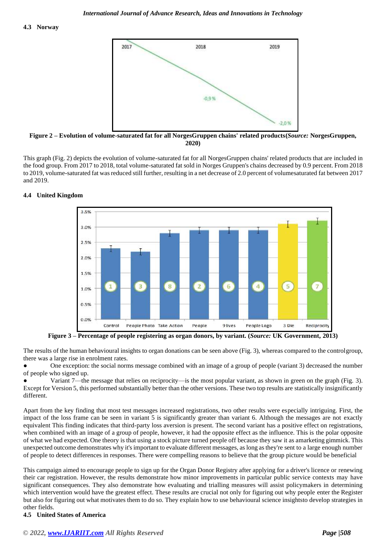

**Figure 2 – Evolution of volume-saturated fat for all NorgesGruppen chains' related products(***Source:* **NorgesGruppen, 2020)**

This graph (Fig. 2) depicts the evolution of volume-saturated fat for all NorgesGruppen chains' related products that are included in the food group. From 2017 to 2018, total volume-saturated fat sold in Norges Gruppen's chains decreased by 0.9 percent. From 2018 to 2019, volume-saturated fat was reduced still further, resulting in a net decrease of 2.0 percent of volumesaturated fat between 2017 and 2019.

## **4.4 United Kingdom**



**Figure 3 – Percentage of people registering as organ donors, by variant. (***Source:* **UK Government, 2013)**

The results of the human behavioural insights to organ donations can be seen above (Fig. 3), whereas compared to the controlgroup, there was a large rise in enrolment rates.

One exception: the social norms message combined with an image of a group of people (variant 3) decreased the number of people who signed up.

Variant 7—the message that relies on reciprocity—is the most popular variant, as shown in green on the graph (Fig. 3). Except for Version 5, this performed substantially better than the other versions. These two top results are statistically insignificantly different.

Apart from the key finding that most test messages increased registrations, two other results were especially intriguing. First, the impact of the loss frame can be seen in variant 5 is significantly greater than variant 6. Although the messages are not exactly equivalent This finding indicates that third-party loss aversion is present. The second variant has a positive effect on registrations, when combined with an image of a group of people, however, it had the opposite effect as the influence. This is the polar opposite of what we had expected. One theory is that using a stock picture turned people off because they saw it as amarketing gimmick. This unexpected outcome demonstrates why it's important to evaluate different messages, as long as they're sent to a large enough number of people to detect differences in responses. There were compelling reasons to believe that the group picture would be beneficial

This campaign aimed to encourage people to sign up for the Organ Donor Registry after applying for a driver's licence or renewing their car registration. However, the results demonstrate how minor improvements in particular public service contexts may have significant consequences. They also demonstrate how evaluating and trialling measures will assist policymakers in determining which intervention would have the greatest effect. These results are crucial not only for figuring out why people enter the Register but also for figuring out what motivates them to do so. They explain how to use behavioural science insightsto develop strategies in other fields.

# **4.5 United States of America**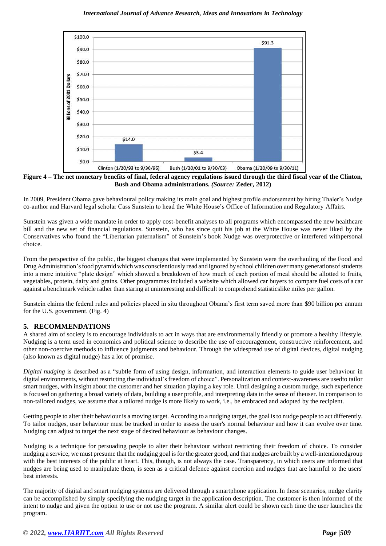

**Figure 4 – The net monetary benefits of final, federal agency regulations issued through the third fiscal year of the Clinton, Bush and Obama administrations.** *(Source:* **Zeder, 2012)**

In 2009, President Obama gave behavioural policy making its main goal and highest profile endorsement by hiring Thaler's Nudge co-author and Harvard legal scholar Cass Sunstein to head the White House's Office of Information and Regulatory Affairs.

Sunstein was given a wide mandate in order to apply cost-benefit analyses to all programs which encompassed the new healthcare bill and the new set of financial regulations. Sunstein, who has since quit his job at the White House was never liked by the Conservatives who found the "Libertarian paternalism" of Sunstein's book Nudge was overprotective or interfered withpersonal choice.

From the perspective of the public, the biggest changes that were implemented by Sunstein were the overhauling of the Food and DrugAdministration'sfood pyramid which was conscientiously read and ignored by school children overmany generationsof students into a more intuitive "plate design" which showed a breakdown of how much of each portion of meal should be allotted to fruits, vegetables, protein, dairy and grains. Other programmes included a website which allowed car buyers to compare fuel costs of a car against a benchmark vehicle rather than staring at uninteresting and difficult to comprehend statisticslike miles per gallon.

Sunstein claims the federal rules and policies placed in situ throughout Obama's first term saved more than \$90 billion per annum for the U.S. government. (Fig. 4)

# **5. RECOMMENDATIONS**

A shared aim of society is to encourage individuals to act in ways that are environmentally friendly or promote a healthy lifestyle. Nudging is a term used in economics and political science to describe the use of encouragement, constructive reinforcement, and other non-coercive methods to influence judgments and behaviour. Through the widespread use of digital devices, digital nudging (also known as digital nudge) has a lot of promise.

*Digital nudging* is described as a "subtle form of using design, information, and interaction elements to guide user behaviour in digital environments, without restricting the individual's freedom of choice". Personalization and context-awareness are usedto tailor smart nudges, with insight about the customer and her situation playing a key role. Until designing a custom nudge, such experience is focused on gathering a broad variety of data, building a user profile, and interpreting data in the sense of theuser. In comparison to non-tailored nudges, we assume that a tailored nudge is more likely to work, i.e., be embraced and adopted by the recipient.

Getting people to alter their behaviour is a moving target. According to a nudging target, the goal is to nudge people to act differently. To tailor nudges, user behaviour must be tracked in order to assess the user's normal behaviour and how it can evolve over time. Nudging can adjust to target the next stage of desired behaviour as behaviour changes.

Nudging is a technique for persuading people to alter their behaviour without restricting their freedom of choice. To consider nudging a service, we must presume that the nudging goal isfor the greater good, and that nudges are built by a well-intentionedgroup with the best interests of the public at heart. This, though, is not always the case. Transparency, in which users are informed that nudges are being used to manipulate them, is seen as a critical defence against coercion and nudges that are harmful to the users' best interests.

The majority of digital and smart nudging systems are delivered through a smartphone application. In these scenarios, nudge clarity can be accomplished by simply specifying the nudging target in the application description. The customer is then informed of the intent to nudge and given the option to use or not use the program. A similar alert could be shown each time the user launches the program.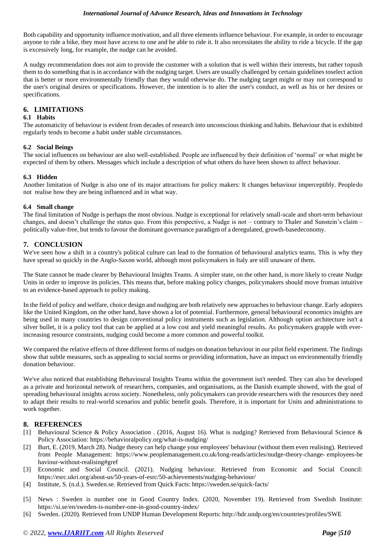Both capability and opportunity influence motivation, and all three elements influence behaviour. For example, in order to encourage anyone to ride a bike, they must have access to one and be able to ride it. It also necessitates the ability to ride a bicycle. If the gap is excessively long, for example, the nudge can be avoided.

A nudgy recommendation does not aim to provide the customer with a solution that is well within their interests, but rather topush them to do something that is in accordance with the nudging target. Users are usually challenged by certain guidelines toselect action that is better or more environmentally friendly than they would otherwise do. The nudging target might or may not correspond to the user's original desires or specifications. However, the intention is to alter the user's conduct, as well as his or her desires or specifications.

# **6. LIMITATIONS**

# **6.1 Habits**

The automaticity of behaviour is evident from decades of research into unconscious thinking and habits. Behaviour that is exhibited regularly tends to become a habit under stable circumstances.

# **6.2 Social Beings**

The social influences on behaviour are also well-established. People are influenced by their definition of 'normal' or what might be expected of them by others. Messages which include a description of what others do have been shown to affect behaviour.

# **6.3 Hidden**

Another limitation of Nudge is also one of its major attractions for policy makers: It changes behaviour imperceptibly. Peopledo not realise how they are being influenced and in what way.

## **6.4 Small change**

The final limitation of Nudge is perhaps the most obvious. Nudge is exceptional for relatively small-scale and short-term behaviour changes, and doesn't challenge the status quo. From this perspective, a Nudge is not – contrary to Thaler and Sunstein's claim – politically value-free, but tends to favour the dominant governance paradigm of a deregulated, growth-basedeconomy.

# **7. CONCLUSION**

We've seen how a shift in a country's political culture can lead to the formation of behavioural analytics teams. This is why they have spread so quickly in the Anglo-Saxon world, although most policymakers in Italy are still unaware of them.

The State cannot be made clearer by Behavioural Insights Teams. A simpler state, on the other hand, is more likely to create Nudge Units in order to improve its policies. This means that, before making policy changes, policymakers should move froman intuitive to an evidence-based approach to policy making.

In the field of policy and welfare, choice design and nudging are both relatively new approaches to behaviour change. Early adopters like the United Kingdom, on the other hand, have shown a lot of potential. Furthermore, general behavioural economics insights are being used in many countries to design conventional policy instruments such as legislation. Although option architecture isn't a silver bullet, it is a policy tool that can be applied at a low cost and yield meaningful results. As policymakers grapple with everincreasing resource constraints, nudging could become a more common and powerful toolkit.

We compared the relative effects of three different forms of nudges on donation behaviour in our pilot field experiment. The findings show that subtle measures, such as appealing to social norms or providing information, have an impact on environmentally friendly donation behaviour.

We've also noticed that establishing Behavioural Insights Teams within the government isn't needed. They can also be developed as a private and horizontal network of researchers, companies, and organisations, as the Danish example showed, with the goal of spreading behavioural insights across society. Nonetheless, only policymakers can provide researchers with the resources they need to adapt their results to real-world scenarios and public benefit goals. Therefore, it is important for Units and administrations to work together.

# **8. REFERENCES**

- [1] Behavioural Science & Policy Association . (2016, August 16). What is nudging? Retrieved from Behavioural Science & Policy Association: https://behavioralpolicy.org/what-is-nudging/
- [2] Burt, E. (2019, March 28). Nudge theory can help change your employees' behaviour (without them even realising). Retrieved from People Management: https:/[/www.peoplemanagement.co.uk/long-reads/articles/nudge-theory-change-](http://www.peoplemanagement.co.uk/long-reads/articles/nudge-theory-change-) employees-be haviour-without-realising#gref
- [3] Economic and Social Council. (2021). Nudging behaviour. Retrieved from Economic and Social Council: https://esrc.ukri.org/about-us/50-years-of-esrc/50-achievements/nudging-behaviour/
- [4] Institute, S. (n.d.). Sweden.se. Retrieved from Quick Facts: https://sweden.se/quick-facts/
- [5] News : Sweden is number one in Good Country Index. (2020, November 19). Retrieved from Swedish Institute: https://si.se/en/sweden-is-number-one-in-good-country-index/
- [6] Sweden. (2020). Retrieved from UNDP Human Development Reports: <http://hdr.undp.org/en/countries/profiles/SWE>